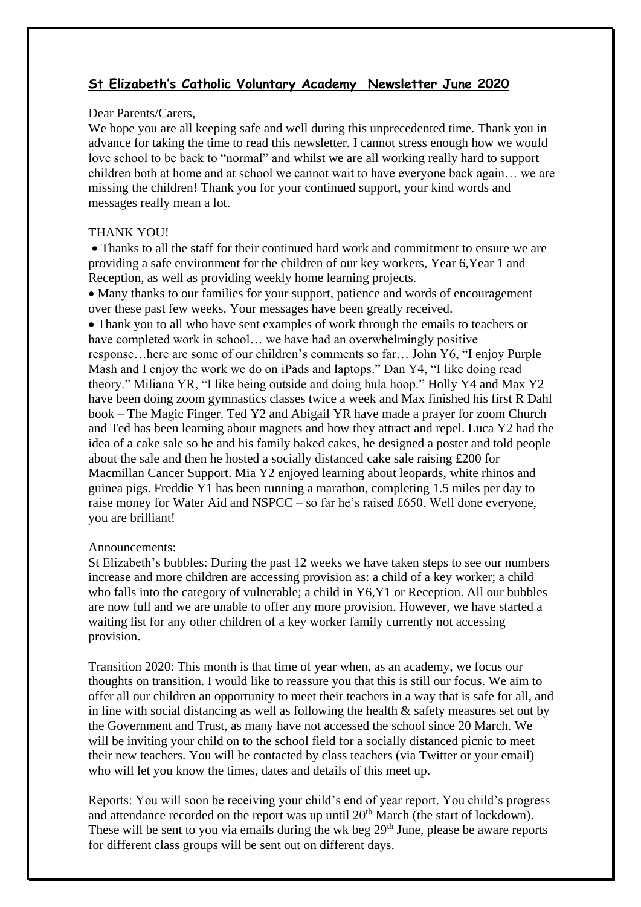## **St Elizabeth's Catholic Voluntary Academy Newsletter June 2020**

## Dear Parents/Carers,

We hope you are all keeping safe and well during this unprecedented time. Thank you in advance for taking the time to read this newsletter. I cannot stress enough how we would love school to be back to "normal" and whilst we are all working really hard to support children both at home and at school we cannot wait to have everyone back again… we are missing the children! Thank you for your continued support, your kind words and messages really mean a lot.

## THANK YOU!

• Thanks to all the staff for their continued hard work and commitment to ensure we are providing a safe environment for the children of our key workers, Year 6,Year 1 and Reception, as well as providing weekly home learning projects.

 Many thanks to our families for your support, patience and words of encouragement over these past few weeks. Your messages have been greatly received.

 Thank you to all who have sent examples of work through the emails to teachers or have completed work in school... we have had an overwhelmingly positive response…here are some of our children's comments so far… John Y6, "I enjoy Purple Mash and I enjoy the work we do on iPads and laptops." Dan Y4, "I like doing read theory." Miliana YR, "I like being outside and doing hula hoop." Holly Y4 and Max Y2 have been doing zoom gymnastics classes twice a week and Max finished his first R Dahl book – The Magic Finger. Ted Y2 and Abigail YR have made a prayer for zoom Church and Ted has been learning about magnets and how they attract and repel. Luca Y2 had the idea of a cake sale so he and his family baked cakes, he designed a poster and told people about the sale and then he hosted a socially distanced cake sale raising £200 for Macmillan Cancer Support. Mia Y2 enjoyed learning about leopards, white rhinos and guinea pigs. Freddie Y1 has been running a marathon, completing 1.5 miles per day to raise money for Water Aid and NSPCC – so far he's raised £650. Well done everyone, you are brilliant!

## Announcements:

St Elizabeth's bubbles: During the past 12 weeks we have taken steps to see our numbers increase and more children are accessing provision as: a child of a key worker; a child who falls into the category of vulnerable; a child in Y6,Y1 or Reception. All our bubbles are now full and we are unable to offer any more provision. However, we have started a waiting list for any other children of a key worker family currently not accessing provision.

Transition 2020: This month is that time of year when, as an academy, we focus our thoughts on transition. I would like to reassure you that this is still our focus. We aim to offer all our children an opportunity to meet their teachers in a way that is safe for all, and in line with social distancing as well as following the health & safety measures set out by the Government and Trust, as many have not accessed the school since 20 March. We will be inviting your child on to the school field for a socially distanced picnic to meet their new teachers. You will be contacted by class teachers (via Twitter or your email) who will let you know the times, dates and details of this meet up.

Reports: You will soon be receiving your child's end of year report. You child's progress and attendance recorded on the report was up until  $20<sup>th</sup>$  March (the start of lockdown). These will be sent to you via emails during the wk beg 29<sup>th</sup> June, please be aware reports for different class groups will be sent out on different days.